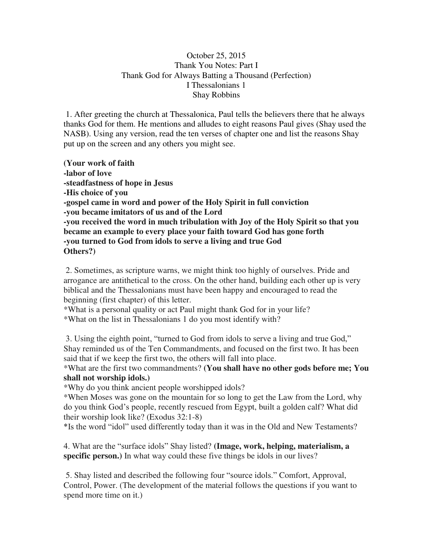## October 25, 2015 Thank You Notes: Part I Thank God for Always Batting a Thousand (Perfection) I Thessalonians 1 Shay Robbins

 1. After greeting the church at Thessalonica, Paul tells the believers there that he always thanks God for them. He mentions and alludes to eight reasons Paul gives (Shay used the NASB). Using any version, read the ten verses of chapter one and list the reasons Shay put up on the screen and any others you might see.

**(Your work of faith -labor of love -steadfastness of hope in Jesus -His choice of you -gospel came in word and power of the Holy Spirit in full conviction -you became imitators of us and of the Lord -you received the word in much tribulation with Joy of the Holy Spirit so that you became an example to every place your faith toward God has gone forth -you turned to God from idols to serve a living and true God Others?)** 

 2. Sometimes, as scripture warns, we might think too highly of ourselves. Pride and arrogance are antithetical to the cross. On the other hand, building each other up is very biblical and the Thessalonians must have been happy and encouraged to read the beginning (first chapter) of this letter.

\*What is a personal quality or act Paul might thank God for in your life? \*What on the list in Thessalonians 1 do you most identify with?

3. Using the eighth point, "turned to God from idols to serve a living and true God," Shay reminded us of the Ten Commandments, and focused on the first two. It has been said that if we keep the first two, the others will fall into place.

\*What are the first two commandments? **(You shall have no other gods before me; You shall not worship idols.)** 

\*Why do you think ancient people worshipped idols?

\*When Moses was gone on the mountain for so long to get the Law from the Lord, why do you think God's people, recently rescued from Egypt, built a golden calf? What did their worship look like? (Exodus 32:1-8)

\*Is the word "idol" used differently today than it was in the Old and New Testaments?

4. What are the "surface idols" Shay listed? **(Image, work, helping, materialism, a specific person.)** In what way could these five things be idols in our lives?

 5. Shay listed and described the following four "source idols." Comfort, Approval, Control, Power. (The development of the material follows the questions if you want to spend more time on it.)